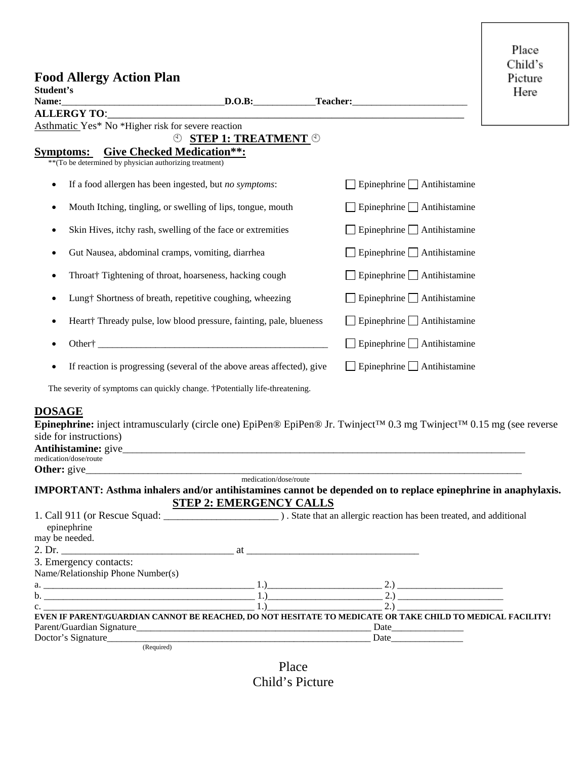| <b>Food Allergy Action Plan</b><br>Student's<br>Name:                                                                                                                                           |                                                 | D.O.B: Teacher: The Constantine Constantine Constantine Constantine Constantine Constantine Constantine Constantine Constantine Constantine Constantine Constantine Constantine Constantine Constantine Constantine Constantin | Place<br>Child's<br>Picture<br>Here |
|-------------------------------------------------------------------------------------------------------------------------------------------------------------------------------------------------|-------------------------------------------------|--------------------------------------------------------------------------------------------------------------------------------------------------------------------------------------------------------------------------------|-------------------------------------|
| ALLERGY TO:                                                                                                                                                                                     |                                                 |                                                                                                                                                                                                                                |                                     |
| Asthmatic Yes* No *Higher risk for severe reaction                                                                                                                                              | $\circledcirc$ STEP 1: TREATMENT $\circledcirc$ |                                                                                                                                                                                                                                |                                     |
| <b>Symptoms:</b><br><b>Give Checked Medication**:</b><br>** (To be determined by physician authorizing treatment)                                                                               |                                                 |                                                                                                                                                                                                                                |                                     |
| If a food allergen has been ingested, but no symptoms:<br>$\bullet$                                                                                                                             |                                                 | $\Box$ Epinephrine $\Box$ Antihistamine                                                                                                                                                                                        |                                     |
| Mouth Itching, tingling, or swelling of lips, tongue, mouth<br>٠                                                                                                                                |                                                 | $\Box$ Epinephrine $\Box$ Antihistamine                                                                                                                                                                                        |                                     |
| Skin Hives, itchy rash, swelling of the face or extremities                                                                                                                                     |                                                 | $\Box$ Epinephrine $\Box$ Antihistamine                                                                                                                                                                                        |                                     |
| Gut Nausea, abdominal cramps, vomiting, diarrhea                                                                                                                                                |                                                 | Epinephrine Antihistamine                                                                                                                                                                                                      |                                     |
| Throat† Tightening of throat, hoarseness, hacking cough                                                                                                                                         |                                                 | $\Box$ Epinephrine $\Box$ Antihistamine                                                                                                                                                                                        |                                     |
| Lung† Shortness of breath, repetitive coughing, wheezing                                                                                                                                        |                                                 | $\Box$ Epinephrine $\Box$ Antihistamine                                                                                                                                                                                        |                                     |
| Heart <sup>+</sup> Thready pulse, low blood pressure, fainting, pale, blueness<br>$\bullet$                                                                                                     |                                                 | $\Box$ Epinephrine $\Box$ Antihistamine                                                                                                                                                                                        |                                     |
|                                                                                                                                                                                                 |                                                 | $\Box$ Epinephrine $\Box$ Antihistamine                                                                                                                                                                                        |                                     |
| If reaction is progressing (several of the above areas affected), give                                                                                                                          |                                                 | $\Box$ Epinephrine $\Box$ Antihistamine                                                                                                                                                                                        |                                     |
| $\mathcal{L} = \mathcal{L} \cup \mathcal{L}$ and $\mathcal{L} = \mathcal{L} \cup \mathcal{L}$ and $\mathcal{L} = \mathcal{L} \cup \mathcal{L}$ and $\mathcal{L} = \mathcal{L} \cup \mathcal{L}$ |                                                 |                                                                                                                                                                                                                                |                                     |

The severity of symptoms can quickly change. †Potentially life-threatening.

## **DOSAGE**

**Epinephrine:** inject intramuscularly (circle one) EpiPen® EpiPen® Jr. Twinject™ 0.3 mg Twinject™ 0.15 mg (see reverse side for instructions)

| .<br>An1<br>,,,,<br>. |  |
|-----------------------|--|
| medication/dose/route |  |

## **Other:** give\_\_\_\_\_\_\_\_\_\_\_\_\_\_\_\_\_\_\_\_\_\_\_\_\_\_\_\_\_\_\_\_\_\_\_\_\_\_\_\_\_\_\_\_\_\_\_\_\_\_\_\_\_\_\_\_\_\_\_\_\_\_\_\_\_\_\_\_\_\_\_\_\_\_\_\_\_\_\_\_\_\_\_\_\_\_\_\_\_\_\_ medication/dose/route **IMPORTANT: Asthma inhalers and/or antihistamines cannot be depended on to replace epinephrine in anaphylaxis. STEP 2: EMERGENCY CALLS**

| epinephrine                       |                                                                                                                                                                                                                               |  |  |
|-----------------------------------|-------------------------------------------------------------------------------------------------------------------------------------------------------------------------------------------------------------------------------|--|--|
| may be needed.                    |                                                                                                                                                                                                                               |  |  |
|                                   |                                                                                                                                                                                                                               |  |  |
| 3. Emergency contacts:            |                                                                                                                                                                                                                               |  |  |
| Name/Relationship Phone Number(s) |                                                                                                                                                                                                                               |  |  |
|                                   | $1.)$ 2.)                                                                                                                                                                                                                     |  |  |
|                                   | 2.1                                                                                                                                                                                                                           |  |  |
| $c.$ $\qquad \qquad$              |                                                                                                                                                                                                                               |  |  |
|                                   | EVEN IF PARENT/GUARDIAN CANNOT BE REACHED, DO NOT HESITATE TO MEDICATE OR TAKE CHILD TO MEDICAL FACILITY!                                                                                                                     |  |  |
|                                   |                                                                                                                                                                                                                               |  |  |
| Doctor's Signature                | Date and the same state of the state of the state of the state of the state of the state of the state of the state of the state of the state of the state of the state of the state of the state of the state of the state of |  |  |
| (Required)                        |                                                                                                                                                                                                                               |  |  |

Place Child's Picture